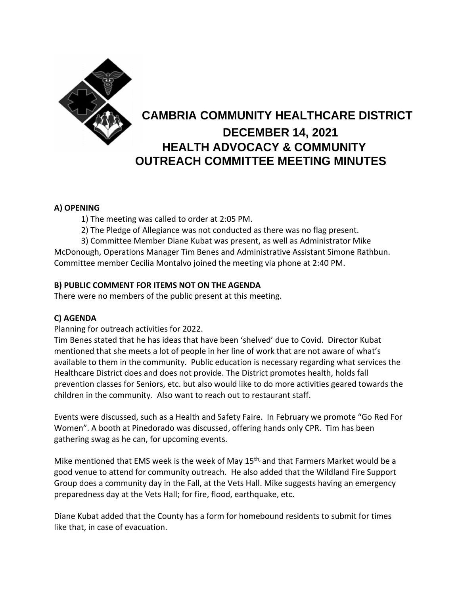

# **CAMBRIA COMMUNITY HEALTHCARE DISTRICT DECEMBER 14, 2021 HEALTH ADVOCACY & COMMUNITY OUTREACH COMMITTEE MEETING MINUTES**

### **A) OPENING**

1) The meeting was called to order at 2:05 PM.

2) The Pledge of Allegiance was not conducted as there was no flag present.

3) Committee Member Diane Kubat was present, as well as Administrator Mike McDonough, Operations Manager Tim Benes and Administrative Assistant Simone Rathbun. Committee member Cecilia Montalvo joined the meeting via phone at 2:40 PM.

### **B) PUBLIC COMMENT FOR ITEMS NOT ON THE AGENDA**

There were no members of the public present at this meeting.

## **C) AGENDA**

Planning for outreach activities for 2022.

Tim Benes stated that he has ideas that have been 'shelved' due to Covid. Director Kubat mentioned that she meets a lot of people in her line of work that are not aware of what's available to them in the community. Public education is necessary regarding what services the Healthcare District does and does not provide. The District promotes health, holds fall prevention classes for Seniors, etc. but also would like to do more activities geared towards the children in the community. Also want to reach out to restaurant staff.

Events were discussed, such as a Health and Safety Faire. In February we promote "Go Red For Women". A booth at Pinedorado was discussed, offering hands only CPR. Tim has been gathering swag as he can, for upcoming events.

Mike mentioned that EMS week is the week of May 15<sup>th,</sup> and that Farmers Market would be a good venue to attend for community outreach. He also added that the Wildland Fire Support Group does a community day in the Fall, at the Vets Hall. Mike suggests having an emergency preparedness day at the Vets Hall; for fire, flood, earthquake, etc.

Diane Kubat added that the County has a form for homebound residents to submit for times like that, in case of evacuation.